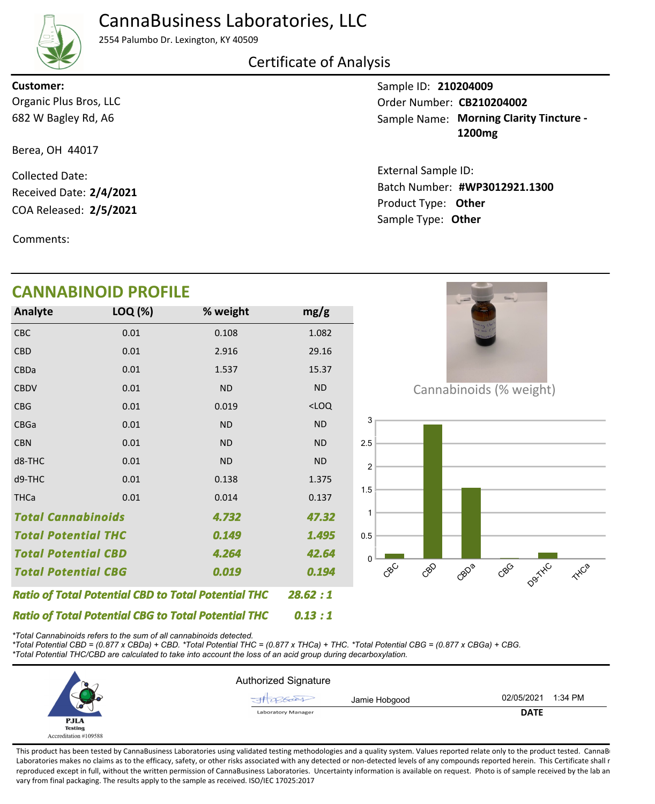## CannaBusiness Laboratories, LLC



2554 Palumbo Dr. Lexington, KY 40509

### Certificate of Analysis

Organic Plus Bros, LLC **Customer:**

682 W Bagley Rd, A6

Berea, OH 44017

COA Released: 2/5/2021 Collected Date: Received Date: **2/4/2021**

Comments:

## **CANNABINOID PROFILE**

| Analyte                                                    | LOQ (%) | % weight  | mg/g      |
|------------------------------------------------------------|---------|-----------|-----------|
| CBC                                                        | 0.01    | 0.108     | 1.082     |
| <b>CBD</b>                                                 | 0.01    | 2.916     | 29.16     |
| CBDa                                                       | 0.01    | 1.537     | 15.37     |
| <b>CBDV</b>                                                | 0.01    | <b>ND</b> | <b>ND</b> |
| <b>CBG</b>                                                 | 0.01    | 0.019     | $<$ LOQ   |
| <b>CBGa</b>                                                | 0.01    | <b>ND</b> | <b>ND</b> |
| <b>CBN</b>                                                 | 0.01    | <b>ND</b> | <b>ND</b> |
| d8-THC                                                     | 0.01    | <b>ND</b> | <b>ND</b> |
| d9-THC                                                     | 0.01    | 0.138     | 1.375     |
| <b>THCa</b>                                                | 0.01    | 0.014     | 0.137     |
| <b>Total Cannabinoids</b><br>4.732                         |         |           | 47.32     |
| <b>Total Potential THC</b>                                 |         | 0.149     | 1.495     |
| <b>Total Potential CBD</b>                                 |         | 4.264     | 42.64     |
| <b>Total Potential CBG</b><br>0.019                        |         |           | 0.194     |
| <b>Ratio of Total Potential CBD to Total Potential THC</b> | 28.62:1 |           |           |

Cannabinoids (% weight)



*\*Total Cannabinoids refers to the sum of all cannabinoids detected.*

*Ratio of Total Potential CBG to Total Potential THC*

*\*Total Potential CBD = (0.877 x CBDa) + CBD. \*Total Potential THC = (0.877 x THCa) + THC. \*Total Potential CBG = (0.877 x CBGa) + CBG. \*Total Potential THC/CBD are calculated to take into account the loss of an acid group during decarboxylation.*



*0.13 : 1*

This product has been tested by CannaBusiness Laboratories using validated testing methodologies and a quality system. Values reported relate only to the product tested. CannaB Laboratories makes no claims as to the efficacy, safety, or other risks associated with any detected or non-detected levels of any compounds reported herein. This Certificate shall r reproduced except in full, without the written permission of CannaBusiness Laboratories. Uncertainty information is available on request. Photo is of sample received by the lab an vary from final packaging. The results apply to the sample as received. ISO/IEC 17025:2017

Sample ID: **210204009** Sample Name: Morning Clarity Tincture -**1200mg** Order Number: CB210204002

Product Type: **Other 2/5/2021 #WP3012921.1300** Batch Number: External Sample ID: Sample Type: **Other**